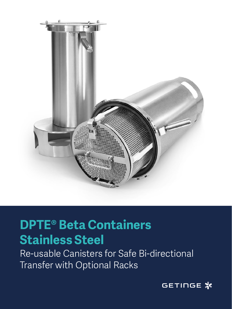

## **Heading School School School School School School School School School School School School School School School**<br>Additional School School School School School School School School School School School School School Schoo Stannobb Stool<br>Die Adelse Sans Light **DPTE® Beta Containers Stainless Steel**

Re-usable Canst<br>T Re-usable Canisters for Safe Bi-directional Transfer with Optional Racks

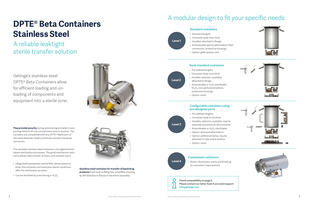# **DPTE® Beta Containers Stainless Steel**

## A reliable leaktight sterile transfer solution

## A modular design to fit your specific needs

- Integrated hydrophobic sterile filter allows steam to enter the container and maintains sterile conditions after the sterilization process.
- Can be sterilized by autoclaving or  $H_2O_2$





**They provide security** during autoclaving and when transporting items from one containment area to another. The canisters are compatible with any DPTE® Alpha port of the same diameter. Safety interlocks prevent manipulation errors.

The reusable stainless steel containers are engineered for steam sterilization processes. The good mechanical resistance allows safe transfer of heavy and complex parts.

> **Stainless steel container for transfer of liquid drug products** from tank to filling line, simplifies cleaning by SIP (Sterilize In Place) of the entire assembly.

## **Customized containers**

• Racks, dimensions, parts and finishing to customers' requirements

 $\mathbf O$ **Check compatibility on page 6. Please contact our Sales Team if you need support. info@getinge.com**

**Level 4**

### **Standard containers**

- Standard lengths
- Container body 1mm thick
- Handles: attached to flange
- Autoclavable (perforated bottom, filter connection, protective housing)
- Option: glide system rack

**Level 1**

## **Semi-standard containers**

- Pre-defined lengths
- Container body 1mm thick
- Handles: selection available, attached to flange
- Autoclavable or  $H_2O_2$  sterilizable  $(H<sub>2</sub>O<sub>2</sub>$  non-perforated bottom, protective housing)
- Option: racks

**Level 2**









## **Configurable containers using pre-designed parts**

- Pre-defined lengths
- Container body 2 mm thick
- Handles: selection available, may be attached anywhere on the container
- Autoclavable or  $H_2O_2$  sterilizable
- Option: dismountable bottom
- Option: additional clamp, may be attached to side and/or bottom
- Option: racks

**Level 3**

Getinge's stainless steel DPTE® Beta Containers allow for efficient loading and unloading of components and equipment into a sterile zone.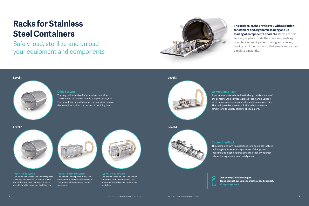**Type A: Glide System**

This rounded basket can handle stoppers and caps, etc. The basket can be pulled out of the container to move the parts directly into the hopper of the filling line.



**Type B: Telescopic System** The basket can be pulled out of the container but remains attached to it. The operator has access to the full rack space.



**Type C: Roller System** The basket slides on a rail and can be separated from the container. The operator can easily use it outside the container.

# **Racks for Stainless Steel Containers**

Safely load, sterilize and unload your equipment and components

**Glide System**



The only rack available for all levels of container. This rounded basket can handle stoppers, caps, etc. The basket can be pulled out of the container to move the parts directly into the hopper of the filling line.

**loading of components, tools etc.** Items are held securely in place inside the container, enabling complete access by steam during autoclaving, leaving no hidden zones so that steam and air can circulate efficiently.

**Check compatibility on page 6. Please contact our Sales Team if you need support. inge.com** 

**Configurable Rack** A perforated plate adapted to the length and diameter of the container, the configurable rack can handle variably sized components using repositionable spacers and pins. This rack provides a useful solution adaptable to an almost infinite variety of items of equipment.



## **Customized Rack**

| <b>Check</b>   |
|----------------|
| Pleas          |
| 0 <sub>0</sub> |

The example shown was designed for a complete tool set including funnel, scissors, spouts etc. Other potential loads include machine parts, small tools for environmental monitoring, needles and petri plates.

### **Level 1 Level 3**





## **The optional racks provide you with a solution for efficient and ergonomic loading and un-**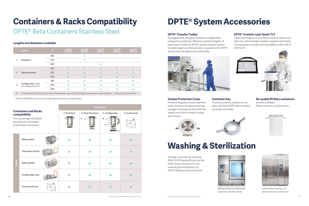# **Containers & Racks Compatibility**

## DPTE® Beta Containers Stainless Steel

|                | Level                                           | Ø   | Length<br>$300$ mm | Length<br>$400$ mm | Length<br>500 mm | Length<br>600 mm | Length<br>700 mm |
|----------------|-------------------------------------------------|-----|--------------------|--------------------|------------------|------------------|------------------|
|                | Standard*                                       | 190 |                    |                    |                  |                  |                  |
|                |                                                 | 270 |                    |                    |                  |                  |                  |
|                |                                                 | 350 |                    |                    | $\bullet$        |                  |                  |
| $\overline{2}$ | Semi-standard                                   | 190 | $\bullet$          |                    | $\bullet$        | $\bullet$        |                  |
|                |                                                 | 270 | $\bullet$          |                    | $\bullet$        | ∙                |                  |
|                |                                                 | 350 | $\bullet$          |                    | $\bullet$        | $\bullet$        |                  |
| 3              | <b>Configurable</b> using<br>pre-designed parts | 190 | $\bullet$          | $\bullet$          | $\bullet$        | $\bullet$        |                  |
|                |                                                 | 270 | $\bullet$          | $\bullet$          | $\bullet$        | $\bullet$        |                  |
|                |                                                 | 350 | $\bullet$          |                    |                  |                  |                  |

**4** Customized containers and racks, dimensions, parts and finishing to customers' requirements - contact our Sales Team

\* Ø 105 and Ø 460 are part of our range, please contact our Sales Team.

# **DPTE® System Accessories**

## **Washing & Sterilization**

## **DPTE® Transfer Trolley**

The hygienically designed compact loading trolley safeguards production efficiency and the integrity of the product inside the DPTE® aseptic transfer system. Variable height and memorization of positions for DPTE® access improve ergonomics and safety.



## **DPTE® Transfer Leak Tester TLT**

Check the integrity of your Beta container before and after use, with Getinge's wireless, pipeless leak tester. The equipment provides full traceability under FDA 21 CFR Part 11.





### **Gasket Protection Cover**

Protect the gasket of your stainless steel container during autoclaving, storage and transportation with the metal cover that is simple to apply and remove.

Getinge recommends using the GEW 101210 Washer/Dryer and the GSS P Steam Sterilizer for the washing and sterilization of a DPTE® Stainless Steel Container.



GSS P Steam Sterilizer for pharmaceutical production

### **Container Key**

The key accessory enables you to open and close DPTE® Beta containers easily and safely.





## **Lengths and diameters available**

|                                                                                   |                        |  | <b>Containers</b> |                 |                 |              |  |  |
|-----------------------------------------------------------------------------------|------------------------|--|-------------------|-----------------|-----------------|--------------|--|--|
| <b>Containers and Racks</b><br>compatibility                                      |                        |  | 1-Standard        | 2-Semi-Standard | 3- Configurable | 4-Customized |  |  |
| The rack design will match<br>the diameter and length<br>of the chosen container. |                        |  |                   |                 |                 |              |  |  |
| Racks                                                                             | Glide system           |  |                   |                 |                 |              |  |  |
|                                                                                   | Telescopic system      |  | ×                 |                 |                 |              |  |  |
|                                                                                   | Roller system          |  | ×                 |                 |                 |              |  |  |
|                                                                                   | Configurable rack      |  | ×                 |                 |                 |              |  |  |
|                                                                                   | <b>Customized rack</b> |  | ×                 |                 |                 |              |  |  |

## **Re-usable PE Beta containers**

are also available. Please contact our Sales Team.







Getinge GEW 101210 Biotech/ Laboratory Washer-Dryer